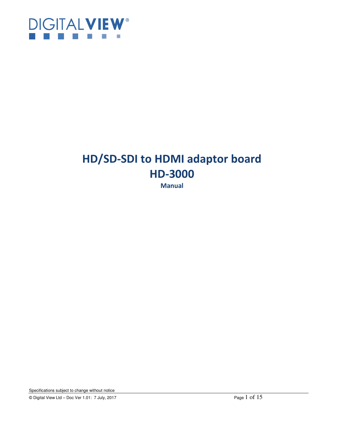

## **HD/SD-SDI to HDMI adaptor board HD-3000**

**Manual** 

Specifications subject to change without notice

© Digital View Ltd – Doc Ver 1.01: 7 July, 2017 Page 1 of 15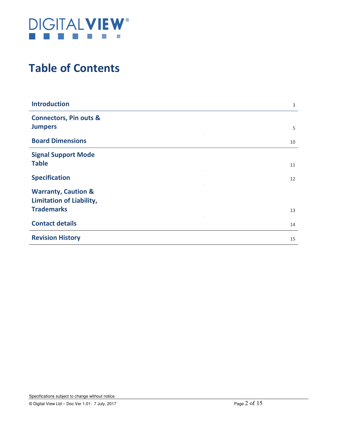

## **Table of Contents**

| <b>Introduction</b>                                               | 3  |
|-------------------------------------------------------------------|----|
| <b>Connectors, Pin outs &amp;</b><br><b>Jumpers</b>               | 5  |
| <b>Board Dimensions</b>                                           | 10 |
| <b>Signal Support Mode</b><br><b>Table</b>                        | 11 |
| <b>Specification</b>                                              |    |
|                                                                   | 12 |
| <b>Warranty, Caution &amp;</b><br><b>Limitation of Liability,</b> |    |
| <b>Trademarks</b>                                                 | 13 |
| <b>Contact details</b>                                            | 14 |
| <b>Revision History</b>                                           | 15 |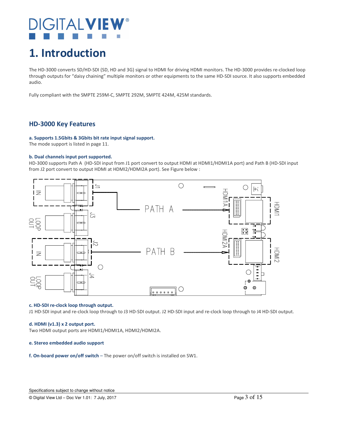## $\overline{\mathsf{H}}$  at  $\mathsf{V}$

## **1. Introduction**

The HD-3000 converts SD/HD-SDI (SD, HD and 3G) signal to HDMI for driving HDMI monitors. The HD-3000 provides re-clocked loop through outputs for "daisy chaining" multiple monitors or other equipments to the same HD-SDI source. It also supports embedded audio.

Fully compliant with the SMPTE 259M-C, SMPTE 292M, SMPTE 424M, 425M standards.

### **HD-3000 Key Features**

#### **a. Supports 1.5Gbits & 3Gbits bit rate input signal support.**

The mode support is listed in page 11.

#### **b. Dual channels input port supported.**

HD-3000 supports Path A (HD-SDI input from J1 port convert to output HDMI at HDMI1/HDMI1A port) and Path B (HD-SDI input from J2 port convert to output HDMI at HDMI2/HDMI2A port). See Figure below :



#### **c. HD-SDI re-clock loop through output.**

J1 HD-SDI input and re-clock loop through to J3 HD-SDI output. J2 HD-SDI input and re-clock loop through to J4 HD-SDI output.

#### **d. HDMI (v1.3) x 2 output port.**

Two HDMI output ports are HDMI1/HDMI1A, HDMI2/HDMI2A.

#### **e. Stereo embedded audio support**

**f. On-board power on/off switch** – The power on/off switch is installed on SW1.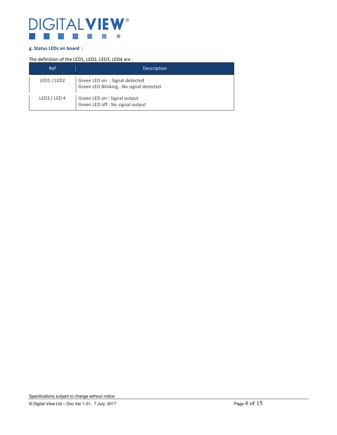

#### **g. Status LEDs on board :**

#### The definition of the LED1, LED2, LED3, LED4 are :

| Ref          | <b>Description</b>                                                       |
|--------------|--------------------------------------------------------------------------|
| LED1 / LED2  | Green LED on: Signal detected<br>Green LED Blinking : No signal detected |
| LED3 / LED 4 | Green LED on : Signal output<br>Green LED off : No signal output         |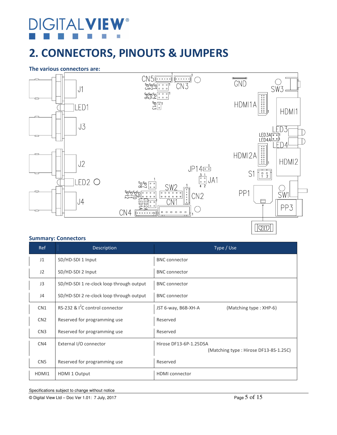# **DIGITALVIE**

## **2. CONNECTORS, PINOUTS & JUMPERS**

#### **The various connectors are:**



#### **Summary: Connectors**

| <b>Ref</b>      | Description                              | Type / Use                                                      |
|-----------------|------------------------------------------|-----------------------------------------------------------------|
| J1              | SD/HD-SDI 1 Input                        | <b>BNC</b> connector                                            |
| J2              | SD/HD-SDI 2 Input                        | <b>BNC</b> connector                                            |
| J3              | SD/HD-SDI 1 re-clock loop through output | <b>BNC</b> connector                                            |
| J <sub>4</sub>  | SD/HD-SDI 2 re-clock loop through output | <b>BNC</b> connector                                            |
| CN <sub>1</sub> | RS-232 & $I^2C$ control connector        | (Matching type: XHP-6)<br>JST 6-way, B6B-XH-A                   |
| CN <sub>2</sub> | Reserved for programming use             | Reserved                                                        |
| CN <sub>3</sub> | Reserved for programming use             | Reserved                                                        |
| CN4             | External I/O connector                   | Hirose DF13-6P-1.25DSA<br>(Matching type: Hirose DF13-8S-1.25C) |
| CN <sub>5</sub> | Reserved for programming use             | Reserved                                                        |
| HDMI1           | HDMI 1 Output                            | <b>HDMI</b> connector                                           |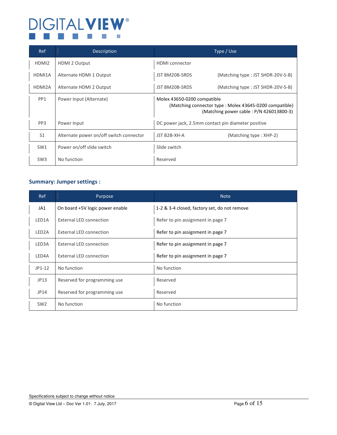#### **DIGITALVIEW®**  $\overline{\mathbb{R}^2}$  $\mathcal{V}^{\mathcal{A}}$  $\Box$

| Ref               | <b>Description</b>                      | Type / Use                                                                                                                       |
|-------------------|-----------------------------------------|----------------------------------------------------------------------------------------------------------------------------------|
| HDMI <sub>2</sub> | HDMI 2 Output                           | <b>HDMI</b> connector                                                                                                            |
| HDMI1A            | Alternate HDMI 1 Output                 | (Matching type: JST SHDR-20V-S-B)<br>JST BM20B-SRDS                                                                              |
| HDMI2A            | Alternate HDMI 2 Output                 | (Matching type: JST SHDR-20V-S-B)<br>JST BM20B-SRDS                                                                              |
| PP <sub>1</sub>   | Power Input (Alternate)                 | Molex 43650-0200 compatible<br>(Matching connector type: Molex 43645-0200 compatible)<br>(Matching power cable: P/N 426013800-3) |
| PP <sub>3</sub>   | Power Input                             | DC power jack, 2.5mm contact pin diameter positive                                                                               |
| S <sub>1</sub>    | Alternate power on/off switch connector | JST B2B-XH-A<br>(Matching type: XHP-2)                                                                                           |
| SW1               | Power on/off slide switch               | Slide switch                                                                                                                     |
| SW <sub>3</sub>   | No function                             | Reserved                                                                                                                         |

### **Summary: Jumper settings :**

| <b>Ref</b>         | Purpose                         | <b>Note</b>                                  |
|--------------------|---------------------------------|----------------------------------------------|
| JA1                | On board +5V logic power enable | 1-2 & 3-4 closed, factory set, do not remove |
| LED1A              | External LED connection         | Refer to pin assignment in page 7            |
| LED <sub>2</sub> A | External LED connection         | Refer to pin assignment in page 7            |
| LED3A              | External LED connection         | Refer to pin assignment in page 7            |
| LED4A              | External LED connection         | Refer to pin assignment in page 7            |
| $JP1-12$           | No function                     | No function                                  |
| JP13               | Reserved for programming use    | Reserved                                     |
| JP14               | Reserved for programming use    | Reserved                                     |
| SW <sub>2</sub>    | No function                     | No function                                  |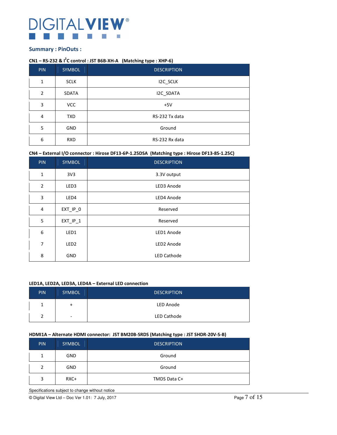## **IGITALVIEW®**

#### **Summary : PinOuts :**

#### **CN1 – RS-232 & I<sup>2</sup> C control : JST B6B-XH-A (Matching type : XHP-6)**

| <b>PIN</b>     | SYMBOL       | <b>DESCRIPTION</b> |
|----------------|--------------|--------------------|
| 1              | <b>SCLK</b>  | I2C_SCLK           |
| $\overline{2}$ | <b>SDATA</b> | I2C_SDATA          |
| 3              | <b>VCC</b>   | $+5V$              |
| 4              | <b>TXD</b>   | RS-232 Tx data     |
| 5              | <b>GND</b>   | Ground             |
| 6              | <b>RXD</b>   | RS-232 Rx data     |

**CN4 – External I/O connector : Hirose DF13-6P-1.25DSA (Matching type : Hirose DF13-8S-1.25C)**

| <b>PIN</b>       | SYMBOL           | <b>DESCRIPTION</b> |
|------------------|------------------|--------------------|
| $\mathbf{1}$     | 3V <sub>3</sub>  | 3.3V output        |
| $\overline{2}$   | LED3             | LED3 Anode         |
| 3                | LED4             | LED4 Anode         |
| 4                | $EXT$ $IP_0$     | Reserved           |
| 5                | $EXT$ $IP_1$     | Reserved           |
| $\boldsymbol{6}$ | LED1             | LED1 Anode         |
| $\overline{7}$   | LED <sub>2</sub> | LED2 Anode         |
| 8                | <b>GND</b>       | <b>LED Cathode</b> |

#### **LED1A, LED2A, LED3A, LED4A – External LED connection**

| PIN <sup>'</sup> | <b>SYMBOL</b> | <b>DESCRIPTION</b> |
|------------------|---------------|--------------------|
|                  |               | LED Anode          |
|                  | ٠             | LED Cathode        |

#### **HDMI1A – Alternate HDMI connector: JST BM20B-SRDS (Matching type : JST SHDR-20V-S-B)**

| <b>PIN</b> | <b>SYMBOL</b> | <b>DESCRIPTION</b> |
|------------|---------------|--------------------|
| 1          | <b>GND</b>    | Ground             |
| 2          | <b>GND</b>    | Ground             |
| 3          | RXC+          | TMDS Data C+       |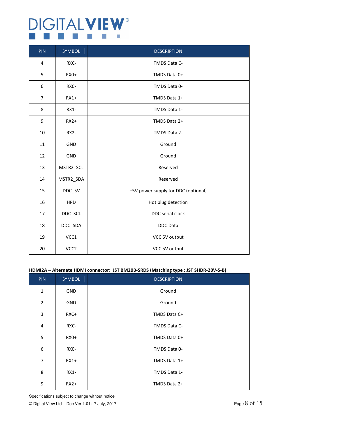### **DIGITALVIEW®**  $\Box$ **The Contract of the State**

| PIN | SYMBOL            | <b>DESCRIPTION</b>                  |
|-----|-------------------|-------------------------------------|
| 4   | RXC-              | TMDS Data C-                        |
| 5   | $RX0+$            | TMDS Data 0+                        |
| 6   | RX <sub>0</sub> - | TMDS Data 0-                        |
| 7   | $RX1+$            | TMDS Data 1+                        |
| 8   | RX1-              | TMDS Data 1-                        |
| 9   | $RX2+$            | TMDS Data 2+                        |
| 10  | <b>RX2-</b>       | TMDS Data 2-                        |
| 11  | GND               | Ground                              |
| 12  | GND               | Ground                              |
| 13  | MSTR2_SCL         | Reserved                            |
| 14  | MSTR2_SDA         | Reserved                            |
| 15  | DDC_5V            | +5V power supply for DDC (optional) |
| 16  | <b>HPD</b>        | Hot plug detection                  |
| 17  | DDC_SCL           | DDC serial clock                    |
| 18  | DDC_SDA           | <b>DDC</b> Data                     |
| 19  | VCC1              | VCC 5V output                       |
| 20  | VCC <sub>2</sub>  | VCC 5V output                       |

#### **HDMI2A – Alternate HDMI connector: JST BM20B-SRDS (Matching type : JST SHDR-20V-S-B)**

| <b>PIN</b>     | <b>SYMBOL</b> | <b>DESCRIPTION</b> |
|----------------|---------------|--------------------|
| $\mathbf{1}$   | <b>GND</b>    | Ground             |
| $\overline{2}$ | <b>GND</b>    | Ground             |
| 3              | $RXC+$        | TMDS Data C+       |
| 4              | RXC-          | TMDS Data C-       |
| 5              | $RXO+$        | TMDS Data 0+       |
| 6              | RX0-          | TMDS Data 0-       |
| $\overline{7}$ | $RX1+$        | TMDS Data 1+       |
| 8              | $RX1 -$       | TMDS Data 1-       |
| 9              | $RX2+$        | TMDS Data 2+       |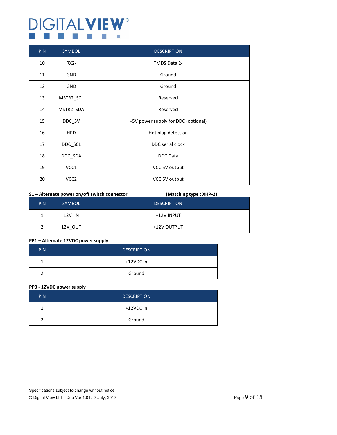## **DIGITALVIEW®** n.

| <b>PIN</b> | <b>SYMBOL</b>    | <b>DESCRIPTION</b>                  |
|------------|------------------|-------------------------------------|
| 10         | <b>RX2-</b>      | TMDS Data 2-                        |
| 11         | <b>GND</b>       | Ground                              |
| 12         | <b>GND</b>       | Ground                              |
| 13         | MSTR2_SCL        | Reserved                            |
| 14         | MSTR2_SDA        | Reserved                            |
| 15         | DDC_5V           | +5V power supply for DDC (optional) |
| 16         | <b>HPD</b>       | Hot plug detection                  |
| 17         | DDC_SCL          | DDC serial clock                    |
| 18         | DDC_SDA          | <b>DDC</b> Data                     |
| 19         | VCC1             | VCC 5V output                       |
| 20         | VCC <sub>2</sub> | VCC 5V output                       |

#### **S1 – Alternate power on/off switch connector (Matching type : XHP-2)**

|            |               | - -                |
|------------|---------------|--------------------|
| <b>PIN</b> | <b>SYMBOL</b> | <b>DESCRIPTION</b> |
|            | 12V IN        | +12V INPUT         |
| っ          | 12V OUT       | +12V OUTPUT        |

#### **PP1 – Alternate 12VDC power supply**

| <b>PIN</b> | <b>DESCRIPTION</b> |
|------------|--------------------|
|            | +12VDC in          |
|            | Ground             |

#### **PP3 - 12VDC power supply**

| <b>PIN</b> | <b>DESCRIPTION</b> |
|------------|--------------------|
|            | +12VDC in          |
|            | Ground             |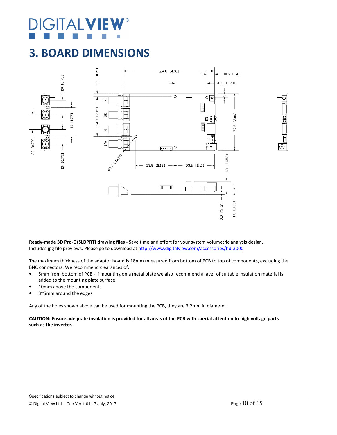# **GITALV**

### **3. BOARD DIMENSIONS**





The maximum thickness of the adaptor board is 18mm (measured from bottom of PCB to top of components, excluding the BNC connectors. We recommend clearances of:

- 5mm from bottom of PCB if mounting on a metal plate we also recommend a layer of suitable insulation material is added to the mounting plate surface.
- 10mm above the components
- 3~5mm around the edges

Any of the holes shown above can be used for mounting the PCB, they are 3.2mm in diameter.

**CAUTION: Ensure adequate insulation is provided for all areas of the PCB with special attention to high voltage parts such as the inverter.**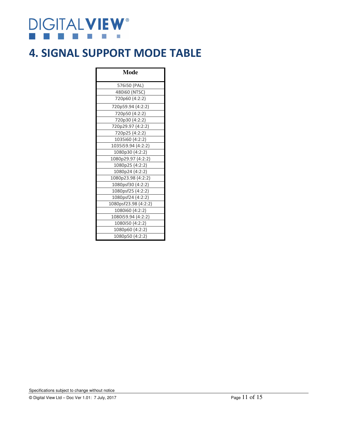# **DIGITALVIEW®**

### **4. SIGNAL SUPPORT MODE TABLE**

| Mode                 |
|----------------------|
| 576i50 (PAL)         |
| 480i60 (NTSC)        |
| 720p60 (4:2:2)       |
| 720p59.94 (4:2:2)    |
| 720p50 (4:2:2)       |
| 720p30 (4:2:2)       |
| 720p29.97 (4:2:2)    |
| 720p25 (4:2:2)       |
| 1035i60 (4:2:2)      |
| 1035i59.94 (4:2:2)   |
| 1080p30 (4:2:2)      |
| 1080p29.97 (4:2:2)   |
| 1080p25 (4:2:2)      |
| 1080p24 (4:2:2)      |
| 1080p23.98 (4:2:2)   |
| 1080psf30 (4:2:2)    |
| 1080psf25 (4:2:2)    |
| 1080psf24 (4:2:2)    |
| 1080psf23.98 (4:2:2) |
| 1080i60 (4:2:2)      |
| 1080i59.94 (4:2:2)   |
| 1080i50 (4:2:2)      |
| 1080p60 (4:2:2)      |
| 1080p50 (4:2:2)      |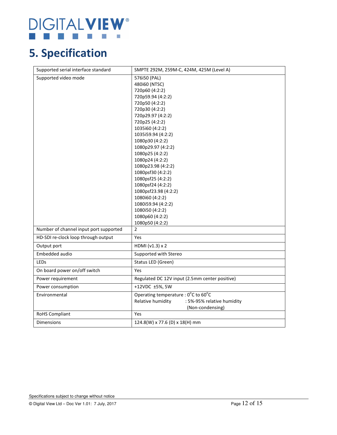### **DIGITALVIEW®** Ŷ.

## **5. Specification**

| Supported serial interface standard    | SMPTE 292M, 259M-C, 424M, 425M (Level A)                                                                                                                                                                                                                                                                                                                                                                                                                                               |
|----------------------------------------|----------------------------------------------------------------------------------------------------------------------------------------------------------------------------------------------------------------------------------------------------------------------------------------------------------------------------------------------------------------------------------------------------------------------------------------------------------------------------------------|
| Supported video mode                   | 576i50 (PAL)<br>480i60 (NTSC)<br>720p60 (4:2:2)<br>720p59.94 (4:2:2)<br>720p50 (4:2:2)<br>720p30 (4:2:2)<br>720p29.97 (4:2:2)<br>720p25 (4:2:2)<br>1035i60 (4:2:2)<br>1035i59.94 (4:2:2)<br>1080p30 (4:2:2)<br>1080p29.97 (4:2:2)<br>1080p25 (4:2:2)<br>1080p24 (4:2:2)<br>1080p23.98 (4:2:2)<br>1080psf30 (4:2:2)<br>1080psf25 (4:2:2)<br>1080psf24 (4:2:2)<br>1080psf23.98 (4:2:2)<br>1080i60 (4:2:2)<br>1080i59.94 (4:2:2)<br>1080i50 (4:2:2)<br>1080p60 (4:2:2)<br>1080p50 (4:2:2) |
| Number of channel input port supported | $\overline{2}$                                                                                                                                                                                                                                                                                                                                                                                                                                                                         |
| HD-SDI re-clock loop through output    | Yes                                                                                                                                                                                                                                                                                                                                                                                                                                                                                    |
| Output port                            | HDMI (v1.3) x 2                                                                                                                                                                                                                                                                                                                                                                                                                                                                        |
| Embedded audio                         | Supported with Stereo                                                                                                                                                                                                                                                                                                                                                                                                                                                                  |
| LEDs                                   | Status LED (Green)                                                                                                                                                                                                                                                                                                                                                                                                                                                                     |
| On board power on/off switch           | Yes                                                                                                                                                                                                                                                                                                                                                                                                                                                                                    |
| Power requirement                      | Regulated DC 12V input (2.5mm center positive)                                                                                                                                                                                                                                                                                                                                                                                                                                         |
| Power consumption                      | +12VDC ±5%, 5W                                                                                                                                                                                                                                                                                                                                                                                                                                                                         |
| Environmental                          | Operating temperature : 0°C to 60°C<br>Relative humidity<br>: 5%-95% relative humidity<br>(Non-condensing)                                                                                                                                                                                                                                                                                                                                                                             |
| <b>RoHS Compliant</b>                  | Yes                                                                                                                                                                                                                                                                                                                                                                                                                                                                                    |
| <b>Dimensions</b>                      | 124.8(W) x 77.6 (D) x 18(H) mm                                                                                                                                                                                                                                                                                                                                                                                                                                                         |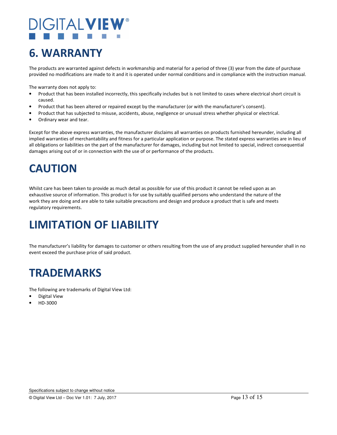# **DIGITALVIE**

## **6. WARRANTY**

The products are warranted against defects in workmanship and material for a period of three (3) year from the date of purchase provided no modifications are made to it and it is operated under normal conditions and in compliance with the instruction manual.

The warranty does not apply to:

- Product that has been installed incorrectly, this specifically includes but is not limited to cases where electrical short circuit is caused.
- Product that has been altered or repaired except by the manufacturer (or with the manufacturer's consent).
- Product that has subjected to misuse, accidents, abuse, negligence or unusual stress whether physical or electrical.
- Ordinary wear and tear.

Except for the above express warranties, the manufacturer disclaims all warranties on products furnished hereunder, including all implied warranties of merchantability and fitness for a particular application or purpose. The stated express warranties are in lieu of all obligations or liabilities on the part of the manufacturer for damages, including but not limited to special, indirect consequential damages arising out of or in connection with the use of or performance of the products.

## **CAUTION**

Whilst care has been taken to provide as much detail as possible for use of this product it cannot be relied upon as an exhaustive source of information. This product is for use by suitably qualified persons who understand the nature of the work they are doing and are able to take suitable precautions and design and produce a product that is safe and meets regulatory requirements.

## **LIMITATION OF LIABILITY**

The manufacturer's liability for damages to customer or others resulting from the use of any product supplied hereunder shall in no event exceed the purchase price of said product.

## **TRADEMARKS**

The following are trademarks of Digital View Ltd:

- Digital View
- HD-3000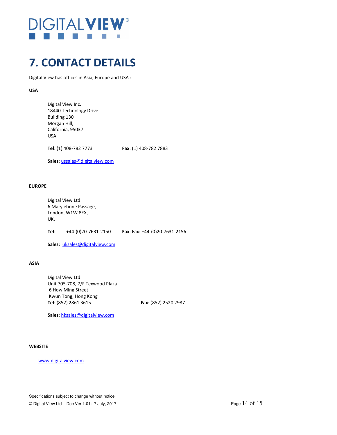# **DIGITALVIE**

## **7. CONTACT DETAILS**

Digital View has offices in Asia, Europe and USA :

**USA** 

 Digital View Inc. 18440 Technology Drive Building 130 Morgan Hill, California, 95037 USA

**Tel**: (1) 408-782 7773 **Fax**: (1) 408-782 7883

**Sales**: ussales@digitalview.com

#### **EUROPE**

Digital View Ltd. 6 Marylebone Passage, London, W1W 8EX, UK.

**Tel**: +44-(0)20-7631-2150 **Fax**: Fax: +44-(0)20-7631-2156

**Sales:** uksales@digitalview.com

**ASIA** 

 Digital View Ltd Unit 705-708, 7/F Texwood Plaza 6 How Ming Street Kwun Tong, Hong Kong **Tel**: (852) 2861 3615 **Fax**: (852) 2520 2987

**Sales**: hksales@digitalview.com

#### **WEBSITE**

www.digitalview.com